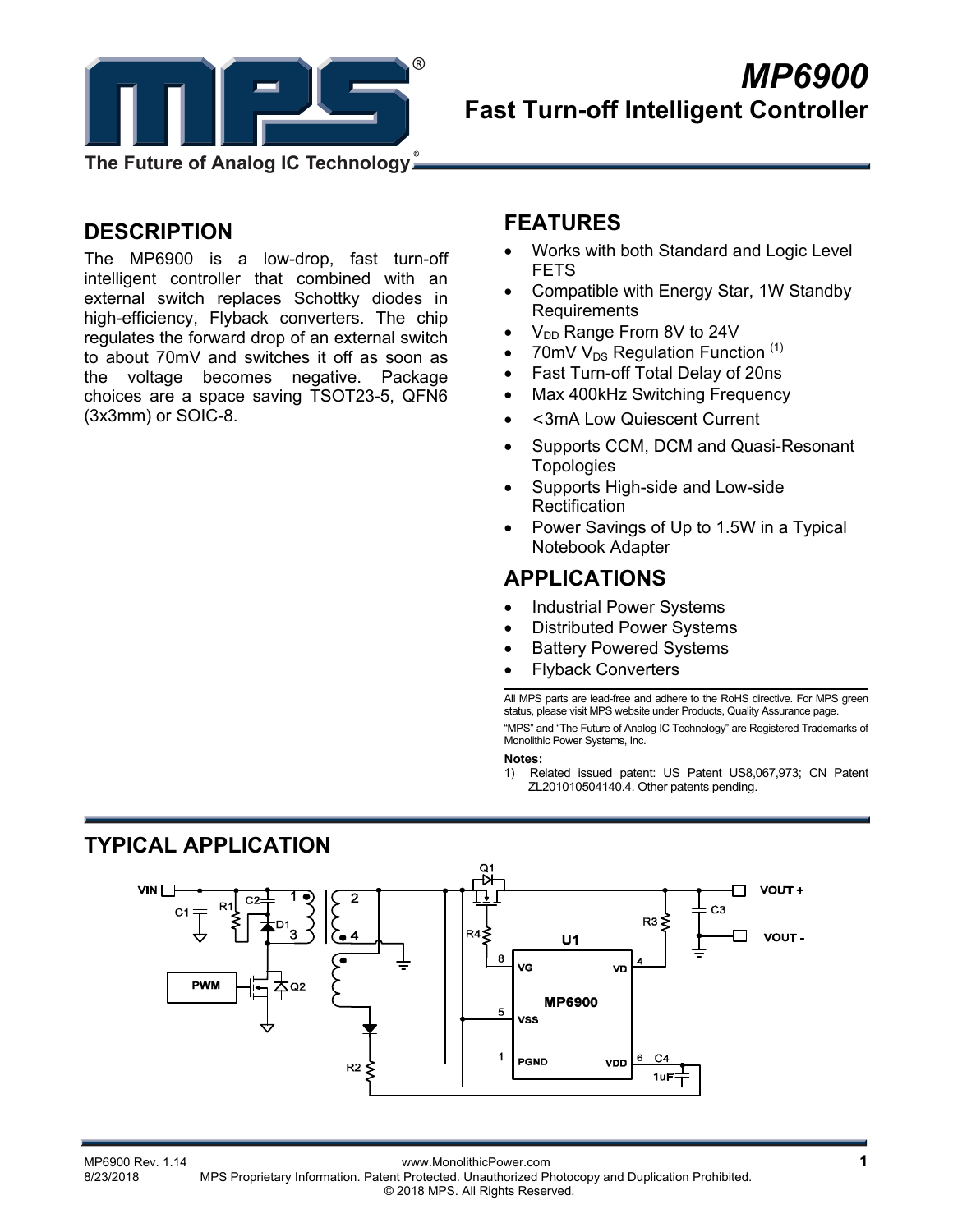

**DESCRIPTION** 

The MP6900 is a low-drop, fast turn-off intelligent controller that combined with an external switch replaces Schottky diodes in high-efficiency, Flyback converters. The chip regulates the forward drop of an external switch to about 70mV and switches it off as soon as the voltage becomes negative. Package choices are a space saving TSOT23-5, QFN6 (3x3mm) or SOIC-8.

### **FEATURES**

- Works with both Standard and Logic Level FETS
- Compatible with Energy Star, 1W Standby Requirements
- $\bullet$  V<sub>DD</sub> Range From 8V to 24V
- 70mV  $V_{DS}$  Regulation Function  $(1)$
- Fast Turn-off Total Delay of 20ns
- Max 400kHz Switching Frequency
- <3mA Low Quiescent Current
- Supports CCM, DCM and Quasi-Resonant Topologies
- Supports High-side and Low-side **Rectification**
- Power Savings of Up to 1.5W in a Typical Notebook Adapter

### **APPLICATIONS**

- Industrial Power Systems
- Distributed Power Systems
- Battery Powered Systems
- Flyback Converters

All MPS parts are lead-free and adhere to the RoHS directive. For MPS green status, please visit MPS website under Products, Quality Assurance page. "MPS" and "The Future of Analog IC Technology" are Registered Trademarks of Monolithic Power Systems, Inc.

#### **Notes:**

1) Related issued patent: US Patent US8,067,973; CN Patent ZL201010504140.4. Other patents pending.

## **TYPICAL APPLICATION**



MP6900 Rev. 1.14 www.MonolithicPower.com<br>8/23/2018 MPS Proprietary Information Patent Protected Unauthorized Photocopy and Duplication Prohibited MPS Proprietary Information. Patent Protected. Unauthorized Photocopy and Duplication Prohibited. © 2018 MPS. All Rights Reserved.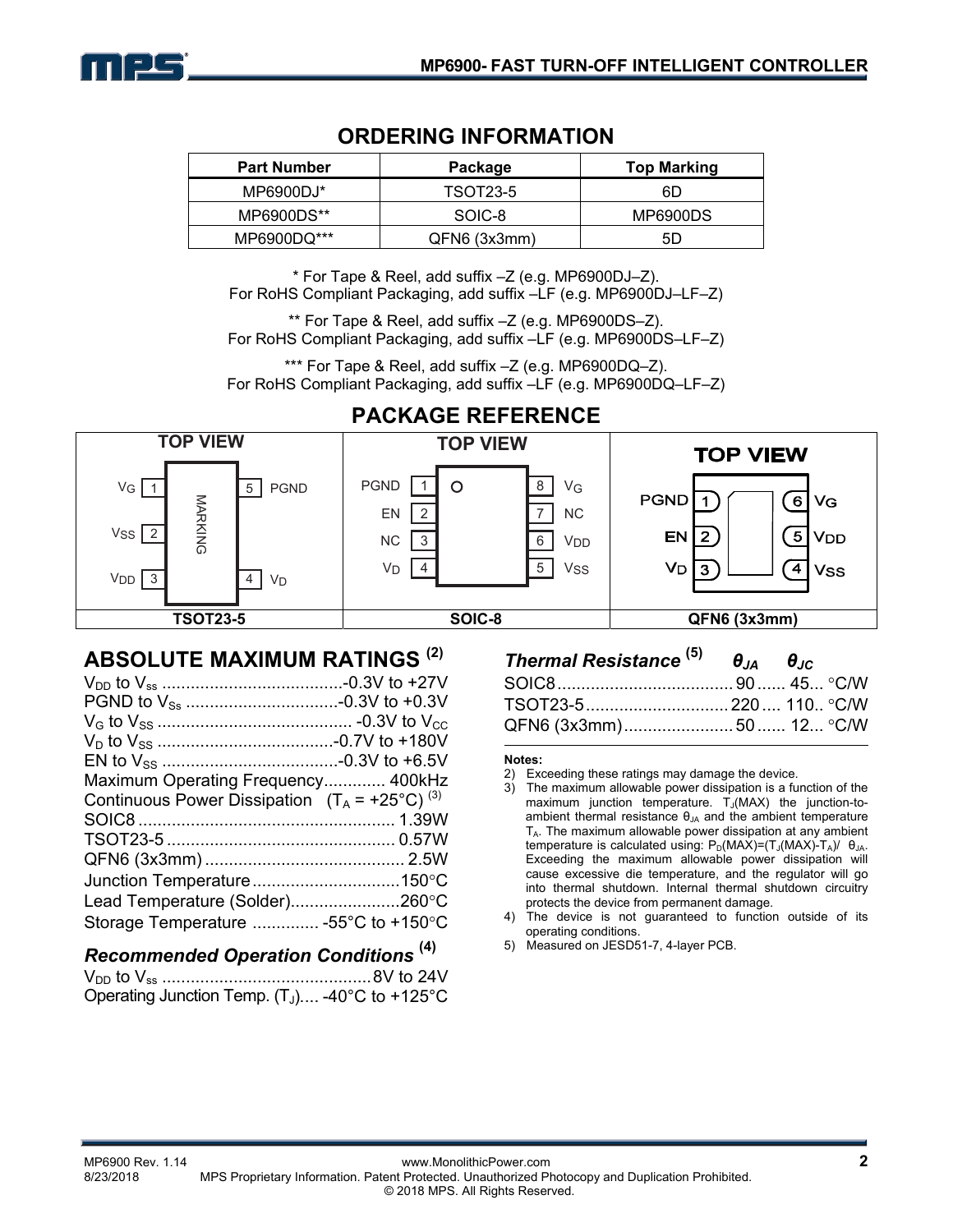

### **ORDERING INFORMATION**

| <b>Part Number</b> | Package      | <b>Top Marking</b> |  |
|--------------------|--------------|--------------------|--|
| MP6900DJ*          | TSOT23-5     | 6D                 |  |
| MP6900DS**         | SOIC-8       | MP6900DS           |  |
| MP6900DQ***        | QFN6 (3x3mm) | 5D                 |  |

\* For Tape & Reel, add suffix –Z (e.g. MP6900DJ–Z). For RoHS Compliant Packaging, add suffix –LF (e.g. MP6900DJ–LF–Z)

\*\* For Tape & Reel, add suffix –Z (e.g. MP6900DS–Z). For RoHS Compliant Packaging, add suffix –LF (e.g. MP6900DS–LF–Z)

\*\*\* For Tape & Reel, add suffix –Z (e.g. MP6900DQ–Z). For RoHS Compliant Packaging, add suffix –LF (e.g. MP6900DQ–LF–Z)



# **PACKAGE REFERENCE**

### **ABSOLUTE MAXIMUM RATINGS (2)**

| Maximum Operating Frequency 400kHz                        |  |
|-----------------------------------------------------------|--|
| Continuous Power Dissipation $(T_A = +25^{\circ}C)^{(3)}$ |  |
|                                                           |  |
|                                                           |  |
|                                                           |  |
|                                                           |  |
| Lead Temperature (Solder)260°C                            |  |
| Storage Temperature  -55°C to +150°C                      |  |

### *Recommended Operation Conditions* **(4)**

| Operating Junction Temp. $(T_J)$ -40°C to +125°C |  |
|--------------------------------------------------|--|

| Thermal Resistance $^{(5)}$ $\theta_{\text{IA}}$ $\theta_{\text{IC}}$ |  |
|-----------------------------------------------------------------------|--|
|                                                                       |  |
| TSOT23-5…………………………220…. 110 °C/W                                      |  |
|                                                                       |  |

#### **Notes:**

- 2) Exceeding these ratings may damage the device.
- 3) The maximum allowable power dissipation is a function of the maximum junction temperature.  $T_J(MAX)$  the junction-toambient thermal resistance  $\theta_{JA}$  and the ambient temperature  $T_A$ . The maximum allowable power dissipation at any ambient temperature is calculated using:  $P_D(MAX)=(T_J(MAX)-T_A)/\theta_{JA}$ . Exceeding the maximum allowable power dissipation will cause excessive die temperature, and the regulator will go into thermal shutdown. Internal thermal shutdown circuitry protects the device from permanent damage.
- 4) The device is not guaranteed to function outside of its operating conditions.
- 5) Measured on JESD51-7, 4-layer PCB.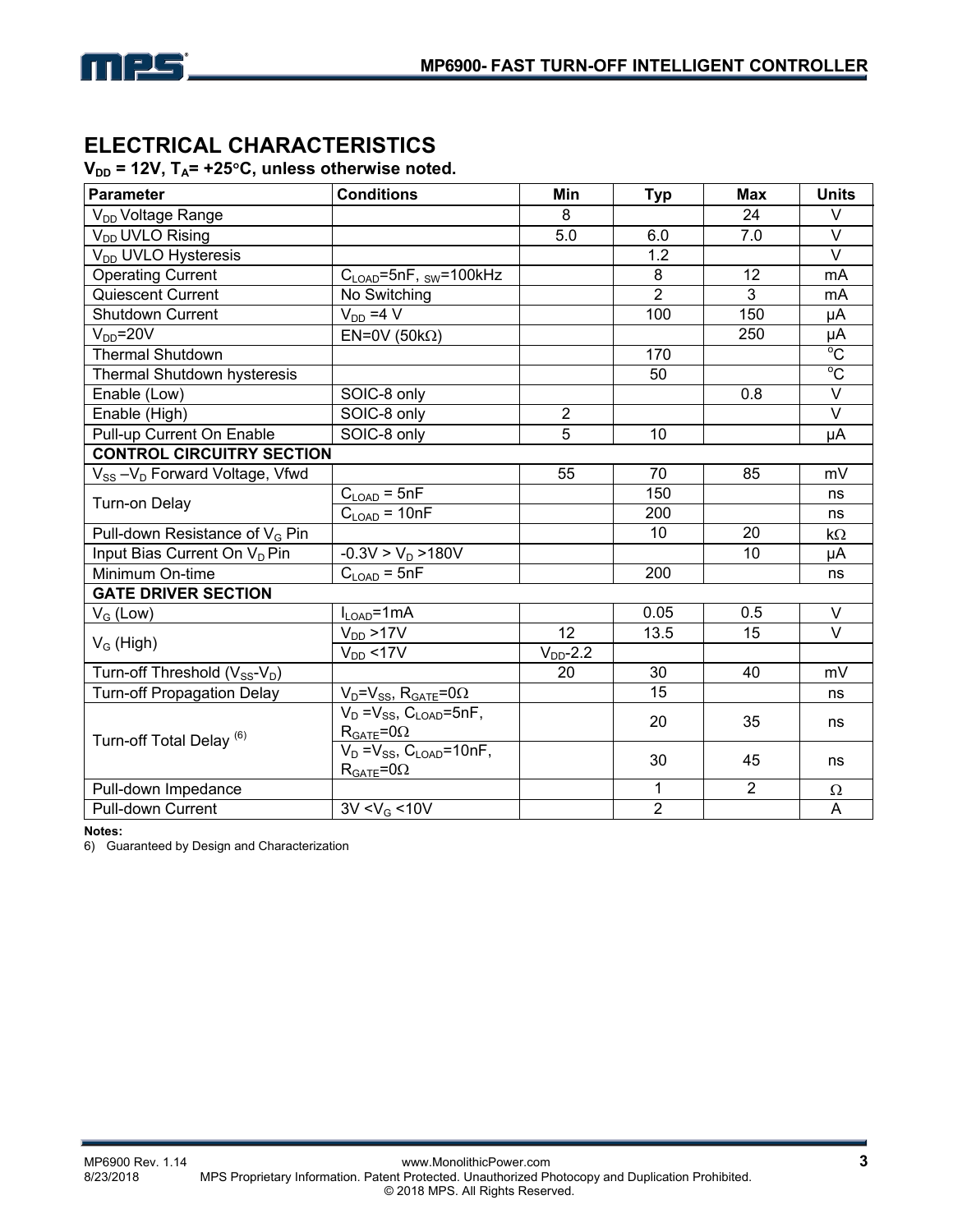

## **ELECTRICAL CHARACTERISTICS**

### V<sub>DD</sub> = 12V, T<sub>A</sub>= +25°C, unless otherwise noted.

| <b>Parameter</b>                                      | <b>Conditions</b>                                            | Min            | <b>Typ</b>      | <b>Max</b>     | <b>Units</b>            |
|-------------------------------------------------------|--------------------------------------------------------------|----------------|-----------------|----------------|-------------------------|
| V <sub>DD</sub> Voltage Range                         |                                                              | 8              |                 | 24             | V                       |
| V <sub>DD</sub> UVLO Rising                           |                                                              | 5.0            | 6.0             | 7.0            | $\vee$                  |
| V <sub>DD</sub> UVLO Hysteresis                       |                                                              |                | 1.2             |                | $\overline{\vee}$       |
| <b>Operating Current</b>                              | $C_{\text{LOAD}}$ =5nF, <sub>SW</sub> =100kHz                |                | 8               | 12             | mA                      |
| Quiescent Current                                     | No Switching                                                 |                | $\overline{2}$  | 3              | mA                      |
| Shutdown Current                                      | $V_{DD} = 4 V$                                               |                | 100             | 150            | μA                      |
| $V_{DD} = 20V$                                        | EN=0V (50k $\Omega$ )                                        |                |                 | 250            | $\frac{\mu A}{\circ C}$ |
| Thermal Shutdown                                      |                                                              |                | 170             |                |                         |
| Thermal Shutdown hysteresis                           |                                                              |                | 50              |                | $^{\circ}$ C            |
| Enable (Low)                                          | SOIC-8 only                                                  |                |                 | 0.8            | $\overline{\vee}$       |
| Enable (High)                                         | SOIC-8 only                                                  | $\overline{2}$ |                 |                | $\overline{\vee}$       |
| Pull-up Current On Enable                             | SOIC-8 only                                                  | $\overline{5}$ | $\overline{10}$ |                | μA                      |
| <b>CONTROL CIRCUITRY SECTION</b>                      |                                                              |                |                 |                |                         |
| V <sub>SS</sub> -V <sub>D</sub> Forward Voltage, Vfwd |                                                              | 55             | 70              | 85             | mV                      |
| Turn-on Delay                                         | $C_{\text{LOAD}} = 5nF$                                      |                | 150             |                | ns                      |
|                                                       | $C_{LOAD} = 10nF$                                            |                | 200             |                | ns                      |
| Pull-down Resistance of V <sub>G</sub> Pin            |                                                              |                | 10              | 20             | kΩ                      |
| Input Bias Current On V <sub>D</sub> Pin              | $-0.3V > V_D > 180V$                                         |                |                 | 10             | μA                      |
| Minimum On-time                                       | $C_{\text{LOAD}}$ = 5nF                                      |                | 200             |                | ns                      |
| <b>GATE DRIVER SECTION</b>                            |                                                              |                |                 |                |                         |
| $V_G$ (Low)                                           | $I_{LOAD} = 1 mA$                                            |                | 0.05            | 0.5            | V                       |
|                                                       | $V_{DD}$ >17V                                                | 12             | 13.5            | 15             | $\vee$                  |
| $V_G$ (High)                                          | $V_{DD}$ <17V                                                | $V_{DD}$ -2.2  |                 |                |                         |
| Turn-off Threshold $(V_{SS}-V_D)$                     |                                                              | 20             | 30              | 40             | mV                      |
| <b>Turn-off Propagation Delay</b>                     | $V_D = V_{SS}$ , $R_{GATE} = 0\Omega$                        |                | 15              |                | ns                      |
| Turn-off Total Delay <sup>(6)</sup>                   | $V_D = V_{SS}$ , $C_{LOAD} = 5nF$ ,                          |                | 20              | 35             | ns                      |
|                                                       | $R_{GATE} = 0\Omega$<br>$V_D = V_{SS}$ , $C_{LOAD} = 10nF$ , |                |                 |                |                         |
|                                                       | $R_{GATE} = 0\Omega$                                         |                | 30              | 45             | ns                      |
| Pull-down Impedance                                   |                                                              |                | 1               | $\overline{2}$ | Ω                       |
| Pull-down Current                                     | $3V < V_G < 10V$                                             |                | $\overline{2}$  |                | A                       |

**Notes:** 

6) Guaranteed by Design and Characterization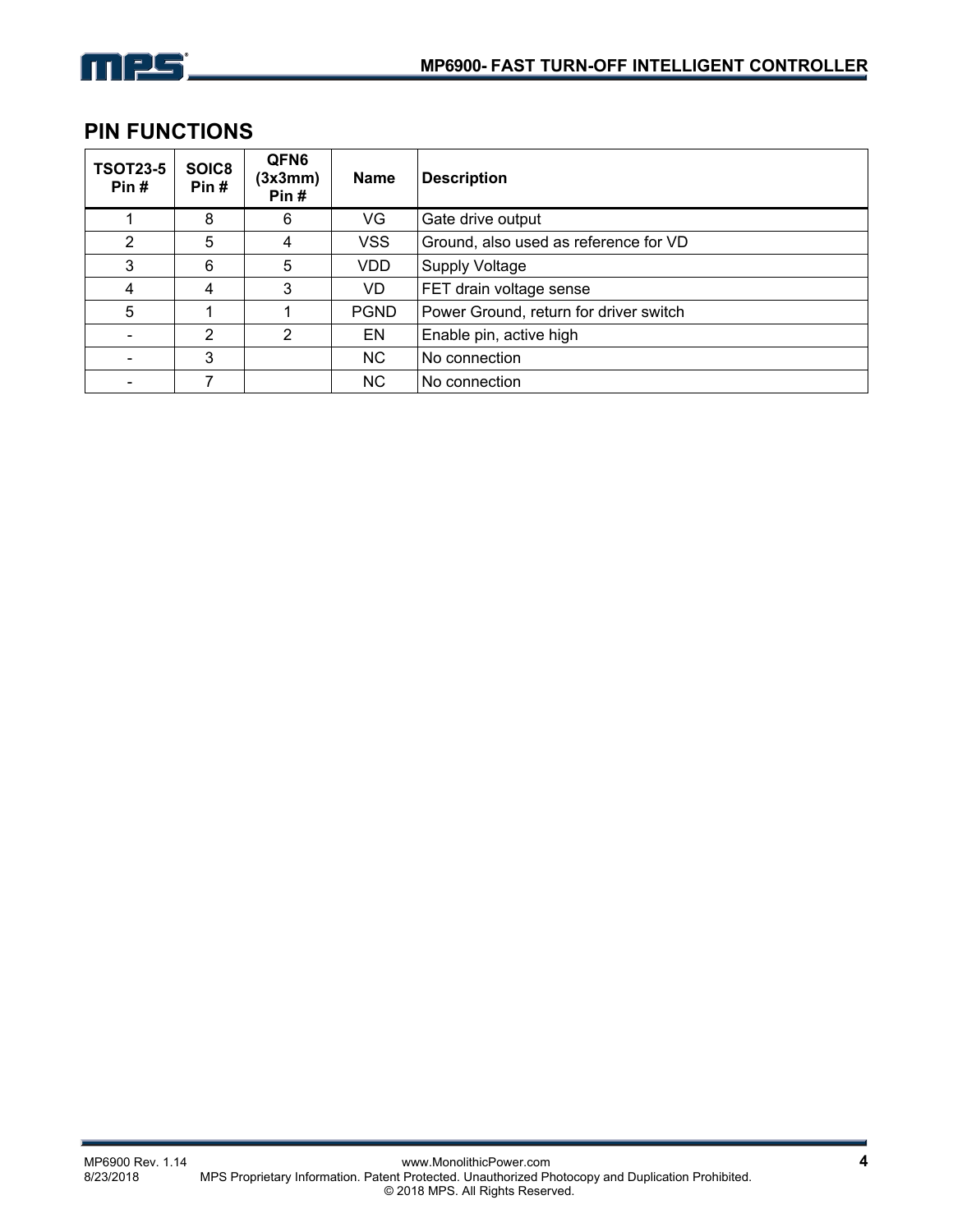

## **PIN FUNCTIONS**

| <b>TSOT23-5</b><br>Pin# | SOIC8<br>Pin#  | QFN6<br>(3x3mm)<br>Pin# | Name        | <b>Description</b>                     |
|-------------------------|----------------|-------------------------|-------------|----------------------------------------|
|                         | 8              | 6                       | VG          | Gate drive output                      |
| 2                       | 5              | 4                       | <b>VSS</b>  | Ground, also used as reference for VD  |
| 3                       | 6              | 5                       | VDD.        | <b>Supply Voltage</b>                  |
| 4                       | 4              | 3                       | VD          | FET drain voltage sense                |
| 5                       |                |                         | <b>PGND</b> | Power Ground, return for driver switch |
|                         | $\overline{2}$ | 2                       | EN          | Enable pin, active high                |
|                         | 3              |                         | NC.         | No connection                          |
|                         |                |                         | <b>NC</b>   | No connection                          |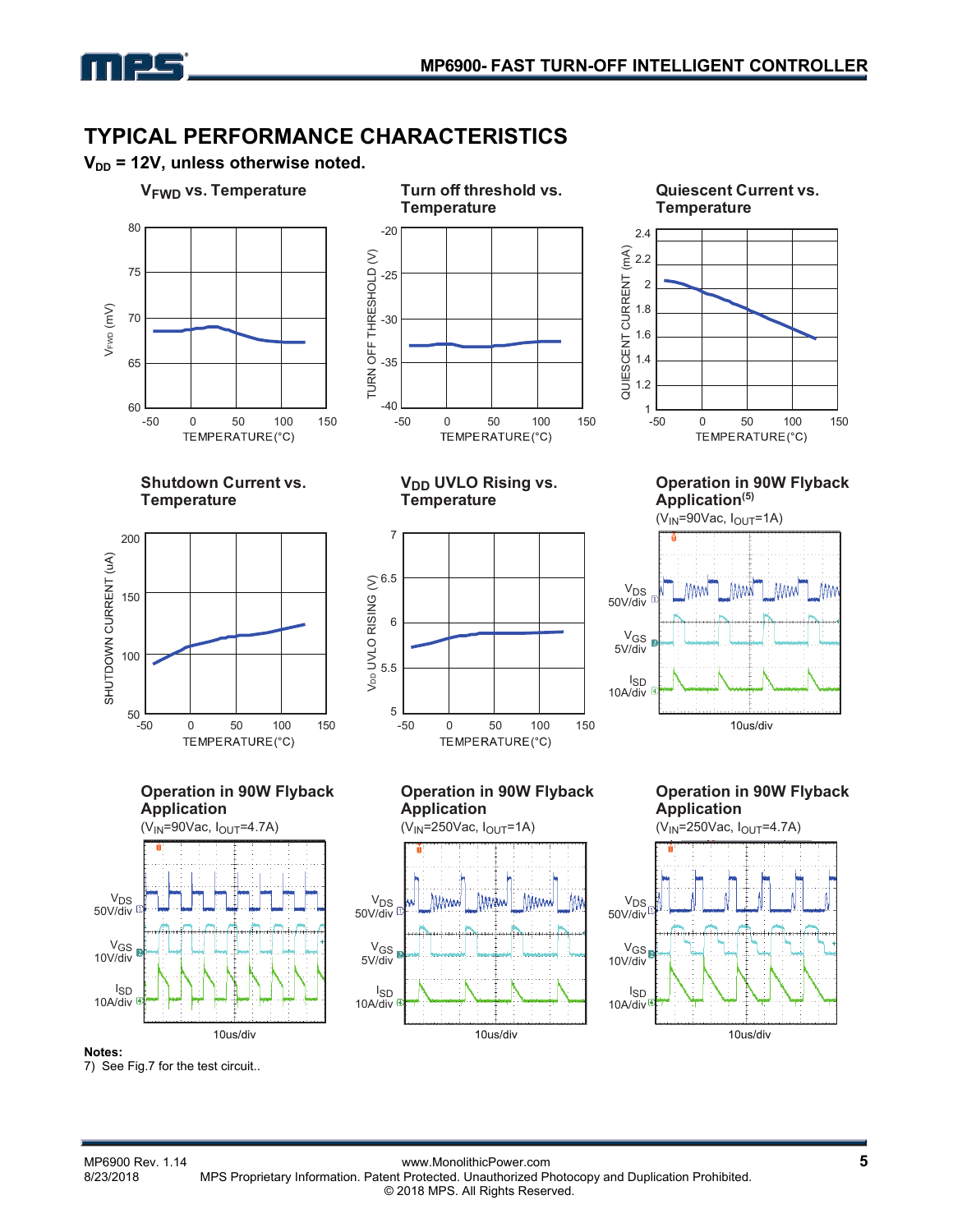## **TYPICAL PERFORMANCE CHARACTERISTICS**





7) See Fig.7 for the test circuit..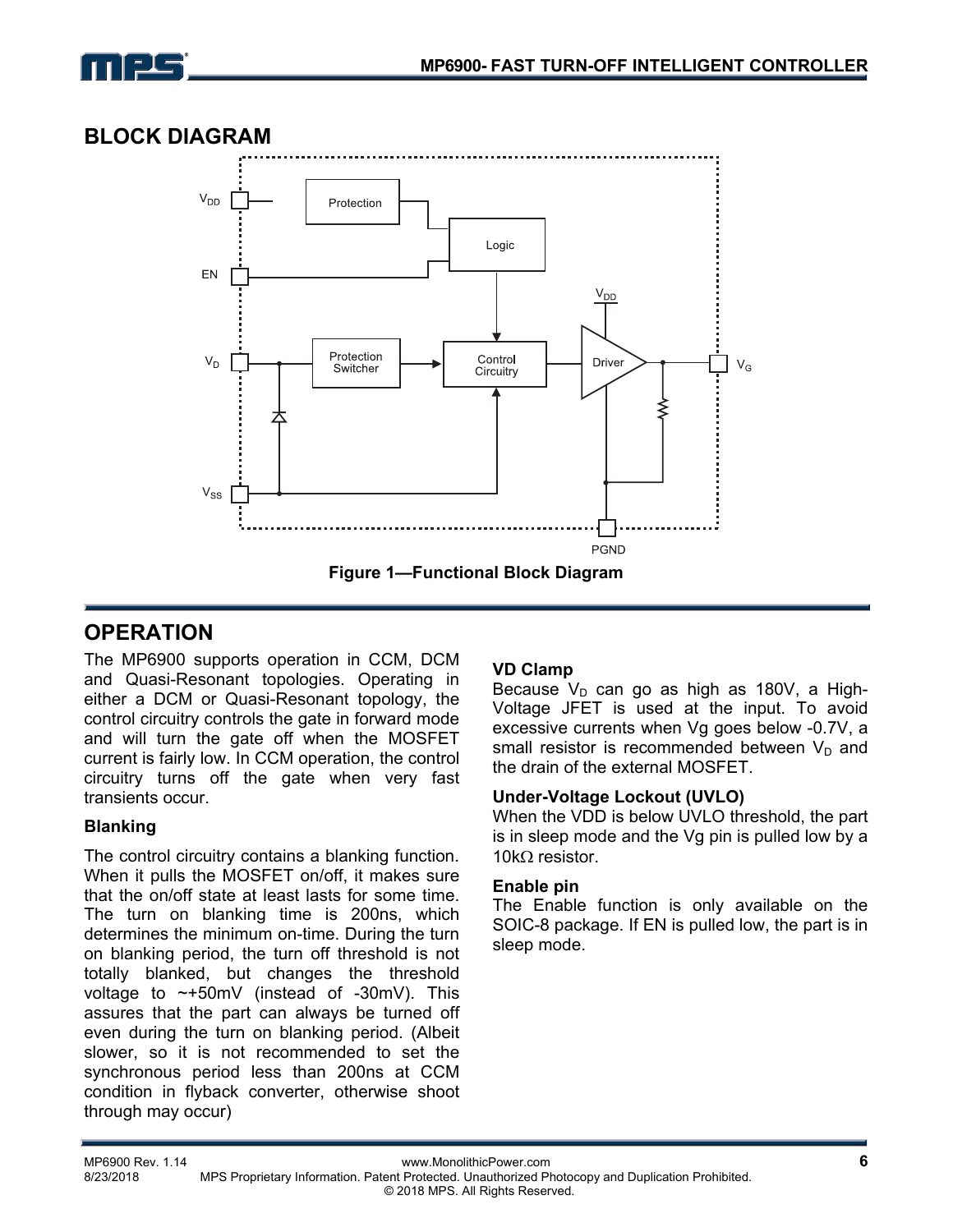

### **BLOCK DIAGRAM**



### **OPERATION**

The MP6900 supports operation in CCM, DCM and Quasi-Resonant topologies. Operating in either a DCM or Quasi-Resonant topology, the control circuitry controls the gate in forward mode and will turn the gate off when the MOSFET current is fairly low. In CCM operation, the control circuitry turns off the gate when very fast transients occur.

### **Blanking**

The control circuitry contains a blanking function. When it pulls the MOSFET on/off, it makes sure that the on/off state at least lasts for some time. The turn on blanking time is 200ns, which determines the minimum on-time. During the turn on blanking period, the turn off threshold is not totally blanked, but changes the threshold voltage to  $\sim +50$ mV (instead of -30mV). This assures that the part can always be turned off even during the turn on blanking period. (Albeit slower, so it is not recommended to set the synchronous period less than 200ns at CCM condition in flyback converter, otherwise shoot through may occur)

### **VD Clamp**

Because  $V_D$  can go as high as 180V, a High-Voltage JFET is used at the input. To avoid excessive currents when Vg goes below -0.7V, a small resistor is recommended between  $V_D$  and the drain of the external MOSFET.

#### **Under-Voltage Lockout (UVLO)**

When the VDD is below UVLO threshold, the part is in sleep mode and the Vg pin is pulled low by a 10k $\Omega$  resistor.

#### **Enable pin**

The Enable function is only available on the SOIC-8 package. If EN is pulled low, the part is in sleep mode.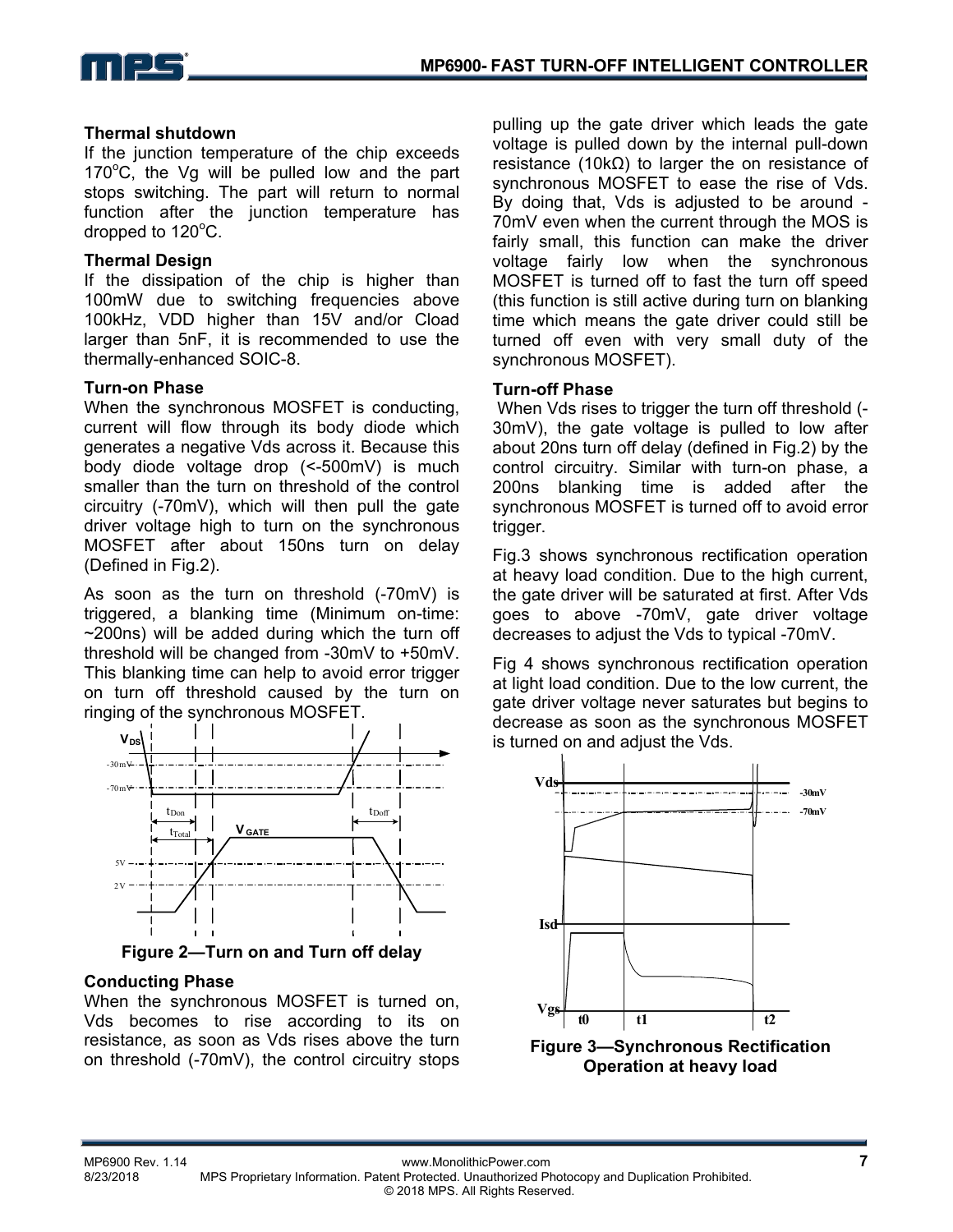

#### **Thermal shutdown**

If the junction temperature of the chip exceeds 170°C, the Vg will be pulled low and the part stops switching. The part will return to normal function after the junction temperature has dropped to  $120^{\circ}$ C.

#### **Thermal Design**

If the dissipation of the chip is higher than 100mW due to switching frequencies above 100kHz, VDD higher than 15V and/or Cload larger than 5nF, it is recommended to use the thermally-enhanced SOIC-8.

#### **Turn-on Phase**

When the synchronous MOSFET is conducting, current will flow through its body diode which generates a negative Vds across it. Because this body diode voltage drop (<-500mV) is much smaller than the turn on threshold of the control circuitry (-70mV), which will then pull the gate driver voltage high to turn on the synchronous MOSFET after about 150ns turn on delay (Defined in Fig.2).

As soon as the turn on threshold (-70mV) is triggered, a blanking time (Minimum on-time:  $\sim$ 200ns) will be added during which the turn off threshold will be changed from -30mV to +50mV. This blanking time can help to avoid error trigger on turn off threshold caused by the turn on ringing of the synchronous MOSFET.



**Figure 2—Turn on and Turn off delay** 

### **Conducting Phase**

When the synchronous MOSFET is turned on, Vds becomes to rise according to its on resistance, as soon as Vds rises above the turn on threshold (-70mV), the control circuitry stops pulling up the gate driver which leads the gate voltage is pulled down by the internal pull-down resistance (10kΩ) to larger the on resistance of synchronous MOSFET to ease the rise of Vds. By doing that, Vds is adjusted to be around - 70mV even when the current through the MOS is fairly small, this function can make the driver voltage fairly low when the synchronous MOSFET is turned off to fast the turn off speed (this function is still active during turn on blanking time which means the gate driver could still be turned off even with very small duty of the synchronous MOSFET).

#### **Turn-off Phase**

 When Vds rises to trigger the turn off threshold (- 30mV), the gate voltage is pulled to low after about 20ns turn off delay (defined in Fig.2) by the control circuitry. Similar with turn-on phase, a 200ns blanking time is added after the synchronous MOSFET is turned off to avoid error trigger.

Fig.3 shows synchronous rectification operation at heavy load condition. Due to the high current, the gate driver will be saturated at first. After Vds goes to above -70mV, gate driver voltage decreases to adjust the Vds to typical -70mV.

Fig 4 shows synchronous rectification operation at light load condition. Due to the low current, the gate driver voltage never saturates but begins to decrease as soon as the synchronous MOSFET is turned on and adjust the Vds.

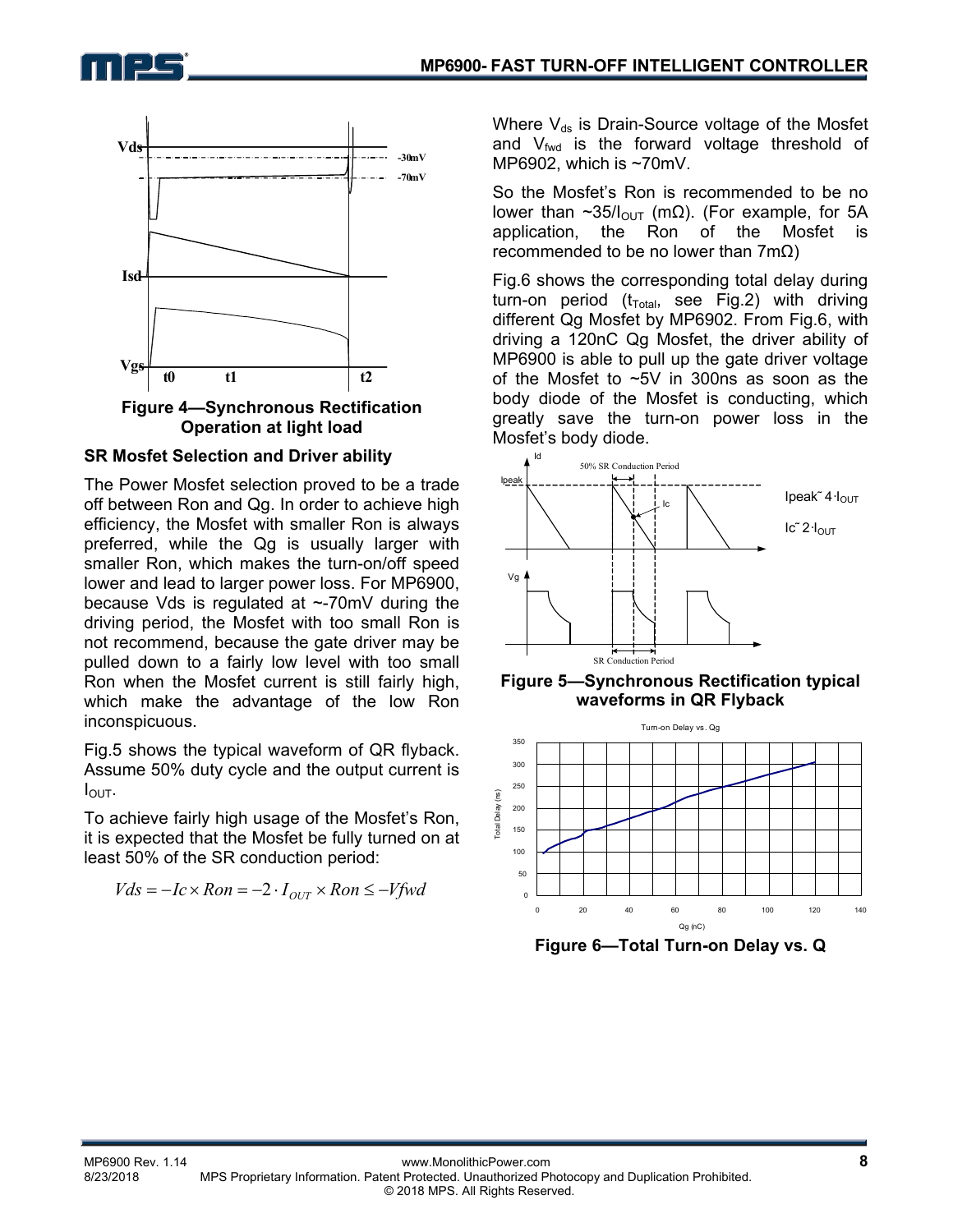



**Figure 4—Synchronous Rectification Operation at light load** 

#### **SR Mosfet Selection and Driver ability**

The Power Mosfet selection proved to be a trade off between Ron and Qg. In order to achieve high efficiency, the Mosfet with smaller Ron is always preferred, while the Qg is usually larger with smaller Ron, which makes the turn-on/off speed lower and lead to larger power loss. For MP6900, because Vds is regulated at ~-70mV during the driving period, the Mosfet with too small Ron is not recommend, because the gate driver may be pulled down to a fairly low level with too small Ron when the Mosfet current is still fairly high, which make the advantage of the low Ron inconspicuous.

Fig.5 shows the typical waveform of QR flyback. Assume 50% duty cycle and the output current is  $I_{\text{OUT}}$ .

To achieve fairly high usage of the Mosfet's Ron, it is expected that the Mosfet be fully turned on at least 50% of the SR conduction period:

$$
Vds = -Ic \times Ron = -2 \cdot I_{OUT} \times Ron \le -Vfwd
$$

Where  $V_{ds}$  is Drain-Source voltage of the Mosfet and  $V_{\text{fwd}}$  is the forward voltage threshold of MP6902, which is ~70mV.

So the Mosfet's Ron is recommended to be no lower than ~35/ $I_{\text{OUT}}$  (mΩ). (For example, for 5A application, the Ron of the Mosfet is recommended to be no lower than 7mΩ)

Fig.6 shows the corresponding total delay during turn-on period ( $t_{Total}$ , see Fig.2) with driving different Qg Mosfet by MP6902. From Fig.6, with driving a 120nC Qg Mosfet, the driver ability of MP6900 is able to pull up the gate driver voltage of the Mosfet to ~5V in 300ns as soon as the body diode of the Mosfet is conducting, which greatly save the turn-on power loss in the Mosfet's body diode.



**Figure 5—Synchronous Rectification typical waveforms in QR Flyback** 



**Figure 6—Total Turn-on Delay vs. Q**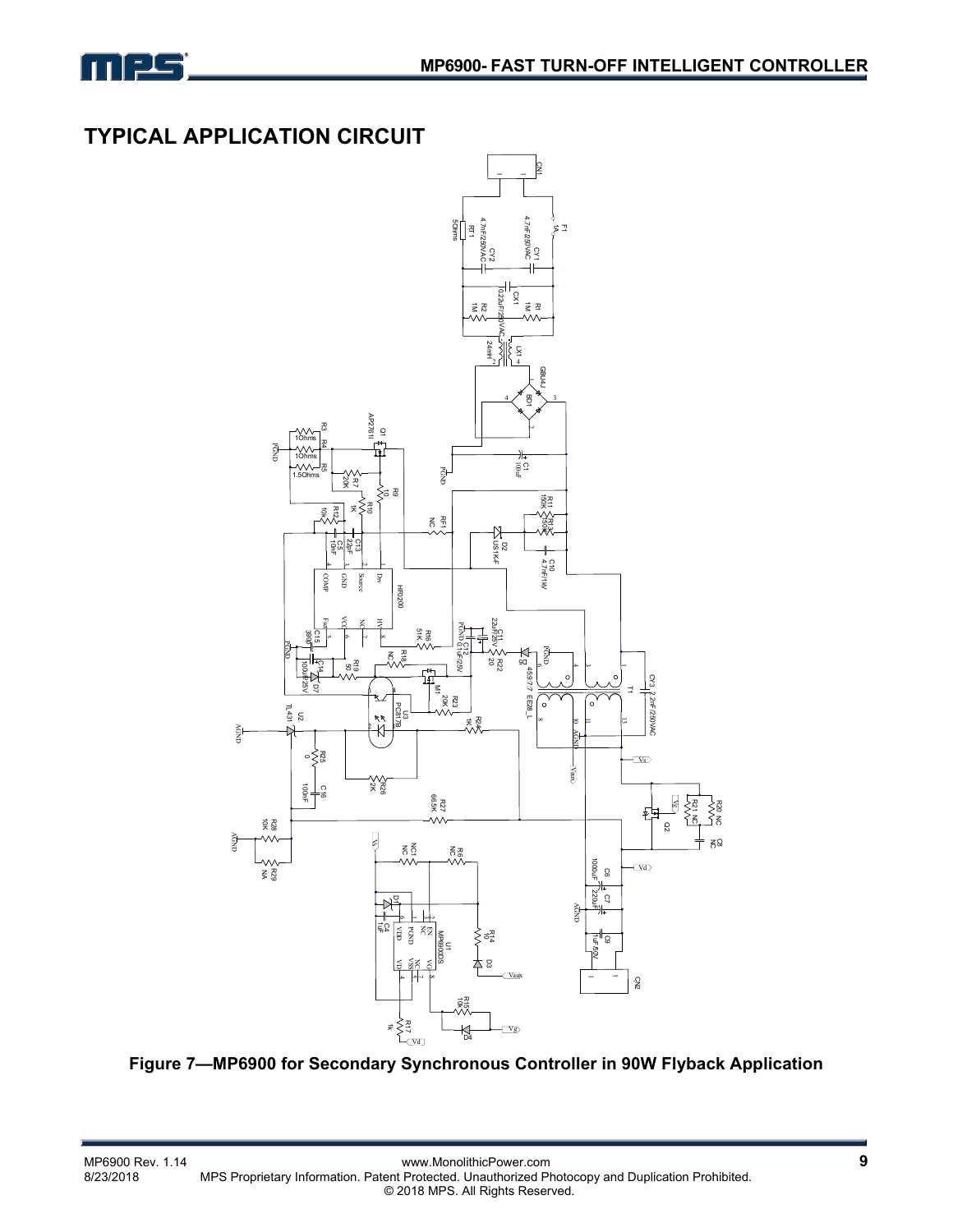

## **TYPICAL APPLICATION CIRCUIT**



**Figure 7—MP6900 for Secondary Synchronous Controller in 90W Flyback Application**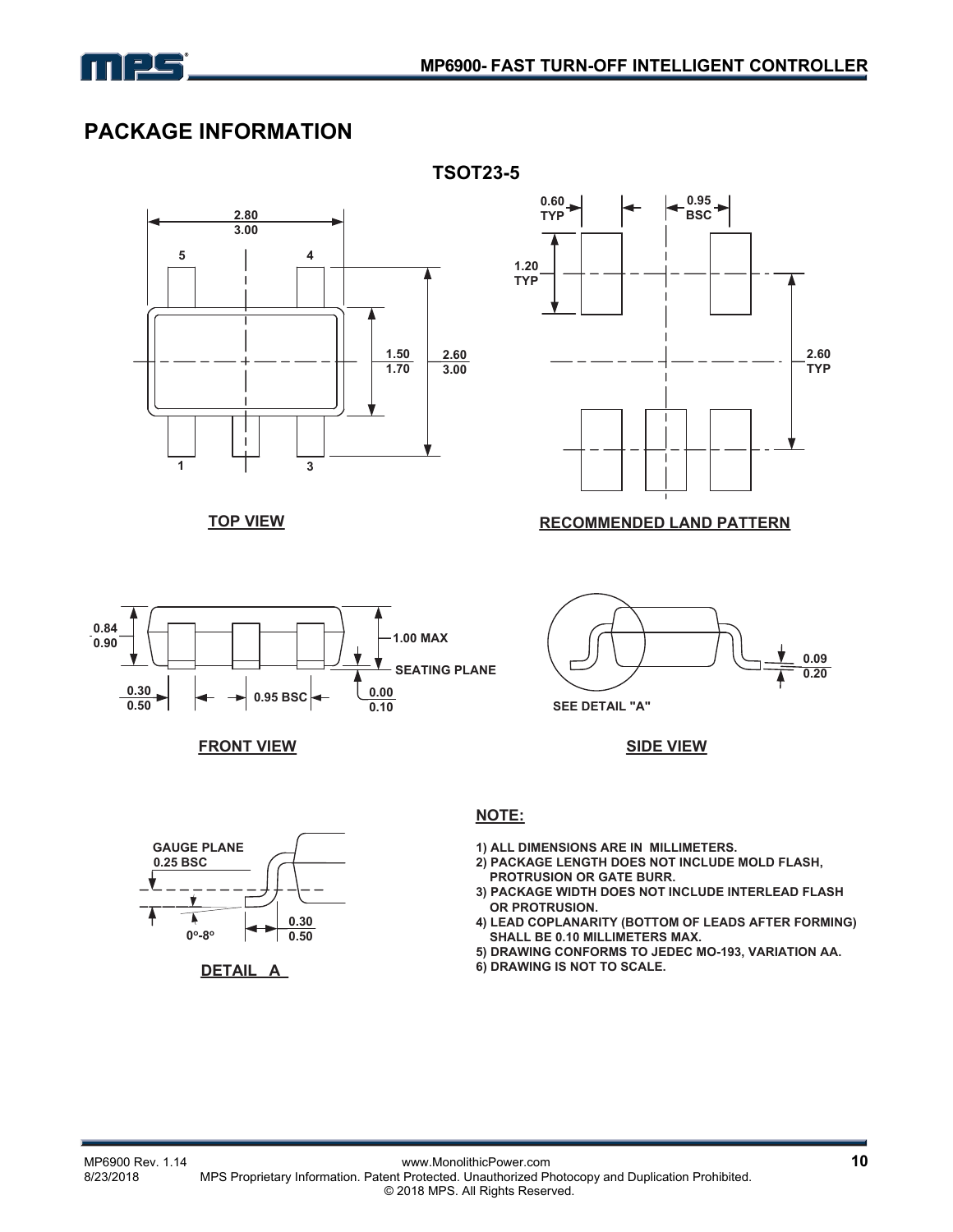

## **PACKAGE INFORMATION**

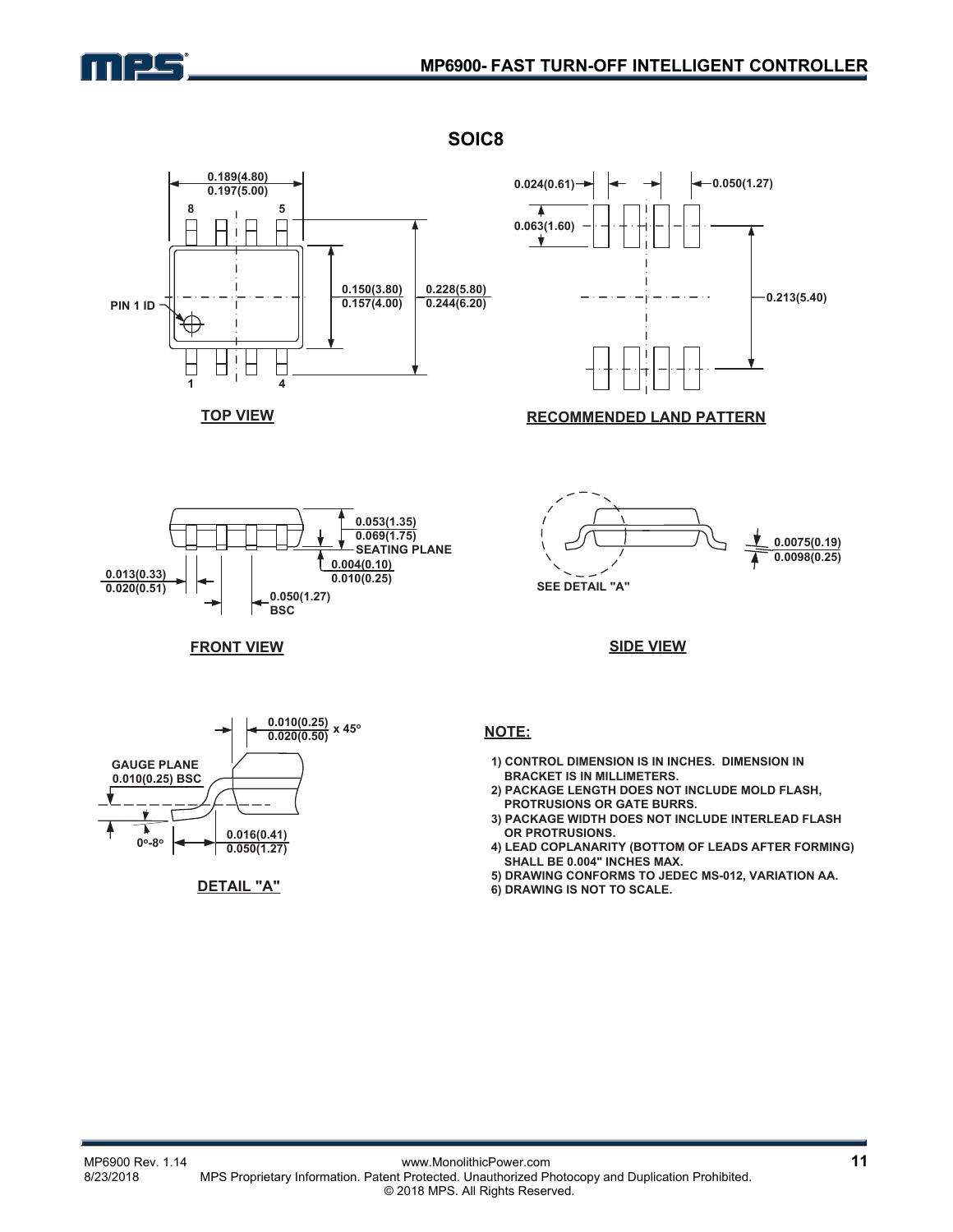







#### **RECOMMENDED LAND PATTERN**





#### **SIDE VIEW**



**FRONT VIEW**



#### **NOTE:**

**SOIC8** 

- **1) CONTROL DIMENSION IS IN INCHES. DIMENSION IN BRACKET IS IN MILLIMETERS.**
- **2) PACKAGE LENGTH DOES NOT INCLUDE MOLD FLASH, PROTRUSIONS OR GATE BURRS.**
- **3) PACKAGE WIDTH DOES NOT INCLUDE INTERLEAD FLASH OR PROTRUSIONS.**
- **4) LEAD COPLANARITY (BOTTOM OF LEADS AFTER FORMING) SHALL BE 0.004" INCHES MAX.**
- **5) DRAWING CONFORMS TO JEDEC MS-012, VARIATION AA.**
- **6) DRAWING IS NOT TO SCALE.**